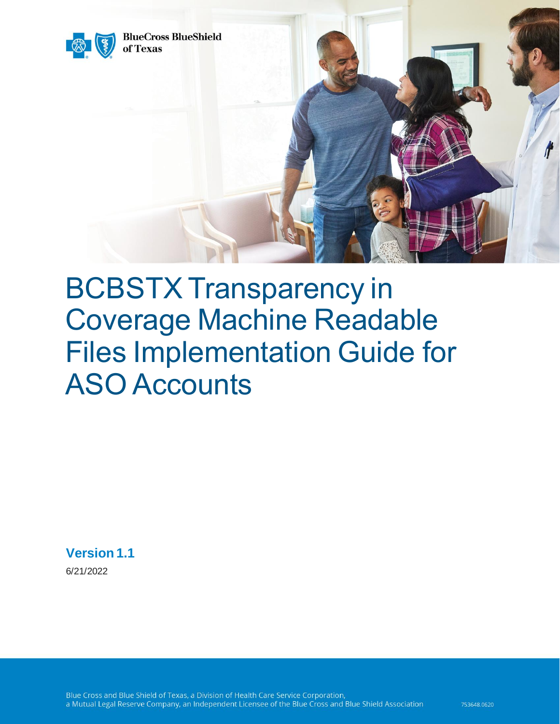

# BCBSTX Transparency in Coverage Machine Readable Files Implementation Guide for ASO Accounts

**Version 1.1**

6/21/2022

Blue Cross and Blue Shield of Texas, a Division of Health Care Service Corporation, a Mutual Legal Reserve Company, an Independent Licensee of the Blue Cross and Blue Shield Association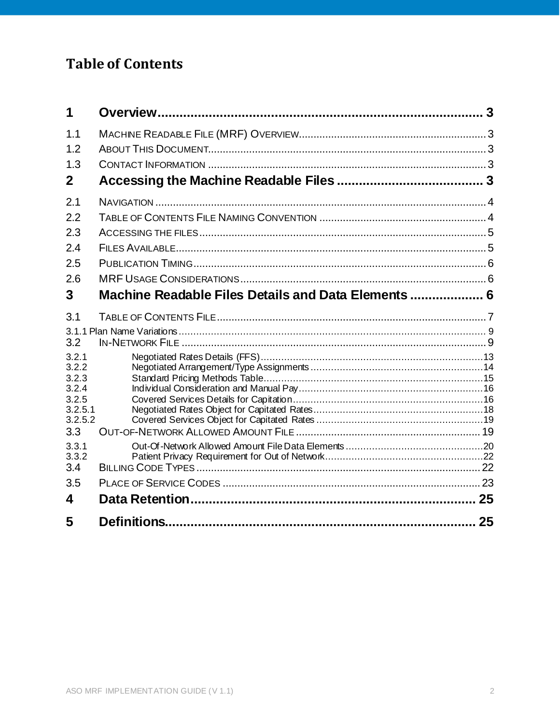# **Table of Contents**

| 1                |                                                     |  |
|------------------|-----------------------------------------------------|--|
| 1.1              |                                                     |  |
| 1.2              |                                                     |  |
| 1.3              |                                                     |  |
| $\mathbf{2}$     |                                                     |  |
| 2.1              |                                                     |  |
| 2.2              |                                                     |  |
| 2.3              |                                                     |  |
| 2.4              |                                                     |  |
| 2.5              |                                                     |  |
| 2.6              |                                                     |  |
| 3                | Machine Readable Files Details and Data Elements  6 |  |
| 3.1              |                                                     |  |
|                  |                                                     |  |
| 3.2              |                                                     |  |
| 3.2.1<br>3.2.2   |                                                     |  |
| 3.2.3            |                                                     |  |
| 3.2.4            |                                                     |  |
| 3.2.5<br>3.2.5.1 |                                                     |  |
| 3.2.5.2          |                                                     |  |
| 3.3              |                                                     |  |
| 3.3.1            |                                                     |  |
| 3.3.2<br>3.4     |                                                     |  |
| 3.5              |                                                     |  |
| 4                |                                                     |  |
|                  |                                                     |  |
| 5                | Definitions.                                        |  |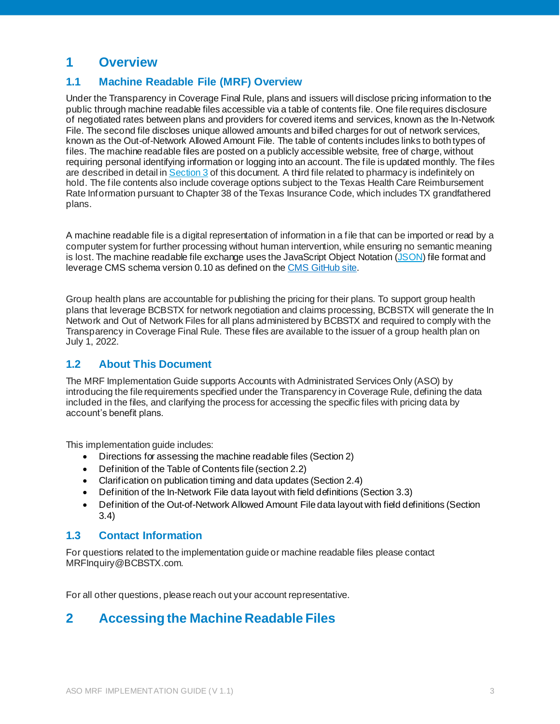# <span id="page-2-0"></span>**1 Overview**

## <span id="page-2-1"></span>**1.1 Machine Readable File (MRF) Overview**

Under the Transparency in Coverage Final Rule, plans and issuers will disclose pricing information to the public through machine readable files accessible via a table of contents file. One file requires disclosure of negotiated rates between plans and providers for covered items and services, known as the In-Network File. The second file discloses unique allowed amounts and billed charges for out of network services, known as the Out-of-Network Allowed Amount File. The table of contents includes links to both types of files. The machine readable files are posted on a publicly accessible website, free of charge, without requiring personal identifying information or logging into an account. The file is updated monthly. The files are described in detail in [Section 3](#page-5-2) of this document. A third file related to pharmacy is indefinitely on hold. The file contents also include coverage options subject to the Texas Health Care Reimbursement Rate Information pursuant to Chapter 38 of the Texas Insurance Code, which includes TX grandfathered plans.

A machine readable file is a digital representation of information in a file that can be imported or read by a computer system for further processing without human intervention, while ensuring no semantic meaning is lost. The machine readable file exchange uses the JavaScript Object Notation [\(JSON](https://en.wikipedia.org/wiki/JSON)) file format and leverage CMS schema version 0.10 as defined on th[e CMS GitHub](https://github.com/CMSgov/price-transparency-guide) site.

Group health plans are accountable for publishing the pricing for their plans. To support group health plans that leverage BCBSTX for network negotiation and claims processing, BCBSTX will generate the In Network and Out of Network Files for all plans administered by BCBSTX and required to comply with the Transparency in Coverage Final Rule. These files are available to the issuer of a group health plan on July 1, 2022.

### <span id="page-2-2"></span>**1.2 About This Document**

The MRF Implementation Guide supports Accounts with Administrated Services Only (ASO) by introducing the file requirements specified under the Transparency in Coverage Rule, defining the data included in the files, and clarifying the process for accessing the specific files with pricing data by account's benefit plans.

This implementation guide includes:

- Directions for assessing the machine readable files (Section 2)
- Definition of the Table of Contents file (section 2.2)
- Clarification on publication timing and data updates (Section 2.4)
- Definition of the In-Network File data layout with field definitions (Section 3.3)
- Definition of the Out-of-Network Allowed Amount File data layout with field definitions (Section 3.4)

### <span id="page-2-3"></span>**1.3 Contact Information**

For questions related to the implementation guide or machine readable files please contact MRFInquiry@BCBSTX.com.

<span id="page-2-4"></span>For all other questions, please reach out your account representative.

# **2 Accessing the Machine Readable Files**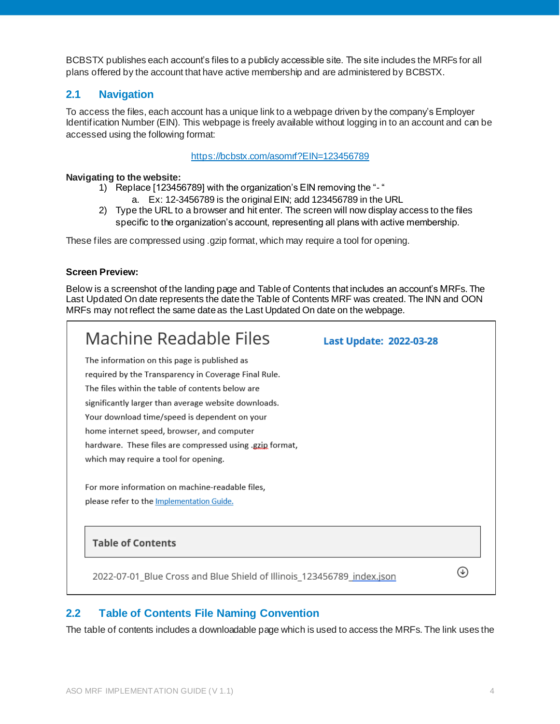BCBSTX publishes each account's files to a publicly accessible site. The site includes the MRFs for all plans offered by the account that have active membership and are administered by BCBSTX.

### <span id="page-3-0"></span>**2.1 Navigation**

To access the files, each account has a unique link to a webpage driven by the company's Employer Identification Number (EIN). This webpage is freely available without logging in to an account and can be accessed using the following format:

#### <https://bcbstx.com/asomrf?EIN=123456789>

#### **Navigating to the website:**

- 1) Replace [123456789] with the organization's EIN removing the "- "
	- a. Ex: 12-3456789 is the original EIN; add 123456789 in the URL
- 2) Type the URL to a browser and hit enter. The screen will now display access to the files specific to the organization's account, representing all plans with active membership.

These files are compressed using .gzip format, which may require a tool for opening.

### **Screen Preview:**

Below is a screenshot of the landing page and Table of Contents that includes an account's MRFs. The Last Updated On date represents the date the Table of Contents MRF was created. The INN and OON MRFs may not reflect the same date as the Last Updated On date on the webpage.

| Machine Readable Files                                                                       | <b>Last Update: 2022-03-28</b> |
|----------------------------------------------------------------------------------------------|--------------------------------|
| The information on this page is published as                                                 |                                |
| required by the Transparency in Coverage Final Rule.                                         |                                |
| The files within the table of contents below are                                             |                                |
| significantly larger than average website downloads.                                         |                                |
| Your download time/speed is dependent on your                                                |                                |
| home internet speed, browser, and computer                                                   |                                |
| hardware. These files are compressed using .gzip format,                                     |                                |
| which may require a tool for opening.                                                        |                                |
| For more information on machine-readable files,<br>please refer to the Implementation Guide. |                                |
| <b>Table of Contents</b>                                                                     |                                |
| 2022-07-01_Blue Cross and Blue Shield of Illinois_123456789_index.json                       |                                |

## <span id="page-3-1"></span>**2.2 Table of Contents File Naming Convention**

The table of contents includes a downloadable page which is used to access the MRFs. The link uses the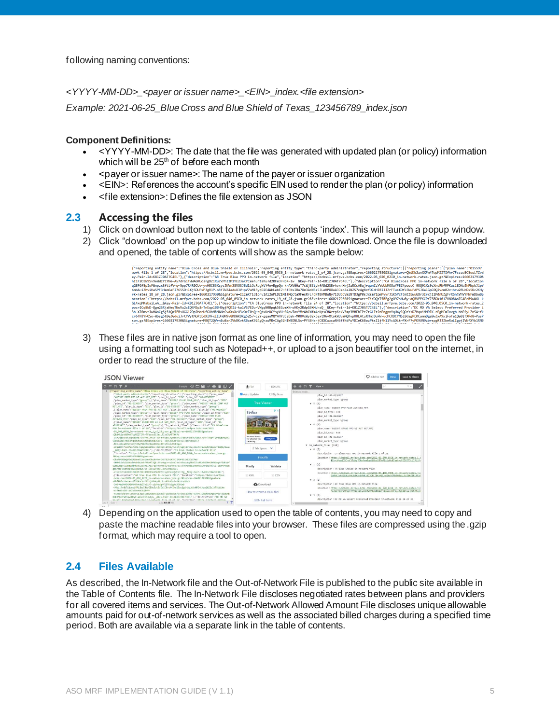following naming conventions:

*<YYYY-MM-DD>\_<payer or issuer name>\_<EIN>\_index.<file extension>*

*Example: 2021-06-25\_Blue Cross and Blue Shield of Texas\_123456789\_index.json*

#### **Component Definitions:**

- <YYYY-MM-DD>: The date that the file was generated with updated plan (or policy) information which will be  $25<sup>th</sup>$  of before each month
- <payer or issuer name>: The name of the payer or issuer organization
- $\bullet \quad$   $\leq$  EIN>: References the account's specific EIN used to render the plan (or policy) information
- <file extension>: Defines the file extension as JSON

### <span id="page-4-0"></span>**2.3 Accessing the files**

- <span id="page-4-1"></span>1) Click on download button next to the table of contents 'index'. This will launch a popup window.
- 2) Click "download' on the pop up window to initiate the file download. Once the file is downloaded and opened, the table of contents will show as the sample below:

| ("plan name":"Blue Cross and Blue Shield of Illinois", "reporting entity type": "third-party administrator", "reporting structure":[{"reporting plans":[{"plan name":"015597           |  |  |
|----------------------------------------------------------------------------------------------------------------------------------------------------------------------------------------|--|--|
| work file 1 of 28","location":"https://bcbsil.mrfpve.bcbs.com/2022-05 040 05C0 in-network-rates 1 of 28.json.gz?&Expires=1660217930&Signature=QkdKk2anXXPm4TwpMZZTIfhr7Fsccw5C5euLTZvW |  |  |
| ey-Pair-Id=K81ZJ0AT7C4EL"}-{"description":"AR True Blue PPO in-network file"."location":"https://bcbsil.mrfpve.bcbs.com/2022-05 020 02I0 in-network-rates.ison.gz?&Expires=1660217930& |  |  |
| hI1F2Ozk9Sv9eWWzY1YNe~Ay7dfG1TWMA6KUosfgDZ1Ru7xPhIIM1YE23aKYCmehuntaRufd2RFm3rHpK~iw &Key-Pair-Id=K81ZJ0AT7C4EL"}{"description":"CA BlueCross PPO in-network file 6 of 28","location   |  |  |
| qGBFGf5pIeFWnpzxSftLfV~q~5pp7R4R0CUv~yvHBCB3XcycJNVn28VOSJBdlLOsRogWtYfevBgpQw-krAXV6HaT7cWj8ZtykfAEd2SErhvxnXwjZaRCcAEqjrqunZzYVoUbMOOuYPEZ4poocC-9EQ91Xc9cXncRNfMPKuci8DKwJhPWpkJipV |  |  |
| 4mbA~iZhviHaSPF3Hem6eFI765SD~1XiSDUFxP3eR1P-oRf7WZ4eduU3V~pV7uM1RvqD2E4WkLebE7~RfENxIBu7Om3AoW8s5JLeHPOOuA3JeoZe2NZS7c4eNzYDCdHJRIJJZrFTusXDYLEWuFdPSJXa1GpC0O2vcm02z~hrw2RUcDx5Kc2KHv |  |  |
| rk-rates_18_of_28.json.gz?&Expires=1660217930&Signature=IlzaKTldlorvlAi2nPLDZIMlfMQcta9FesRrLFqNT8HMBuNy71DUJCVmzNTD3gP0sJxsaYIpmPyyrJiK5PcFJmtZEwuGXr3IrxjIiM4nUZgFrRSn4VhVYFNFmDbwBp |  |  |
| ocation":"https://bcbsil.mrfpve.bcbs.com/2022-05 040 05C0 in-network-rates 19 of 28.json.gz?&Expires=1660217930&Signature=TiYOQYT5BEg2gO97sNw8y~dQRVEEKCPYZSBDki01ZVN08AoTCAPcR9wW6L-k |  |  |
| GL4xqMKabaiLwA &Key-Pair-Id=K81ZJ0AT7C4EL"},{"description":"CA BlueCross PPO in-network file 24 of 28","location":"https://bcbsil.mrfpve.bcbs.com/2022-05 040 05C0 in-network-rates 2  |  |  |
| pocrICq8kD-Qgm2SRjaNeqTNwVu2cEQ4M3p2rTnEqp1BBH9gjFQKIi-ka1VS7EDu~VWgqN0Bpqk5EGvmXNroHKy2RdpG9XMvhsQ_&Key-Pair-Id=K81ZJ0AT7C4EL"},{"description":"DC MD VA Select Preferred Provider i  |  |  |
| 3h-XI0mvtJwHAnCgS15i0m5EBsUGG12Dp2HorUfGUhMRMANeCvdXxXcU3vOzF0s0~c0dxKrUCYsyVU~0ApwTovYMzWbCWfm4cKpsCHWztp6ekV3mp3MHFhIPrZtGLIt2nPngpnYqU4y100zYsDZHqoiMH9IK-rPgMFmIxvgb-bbP2yLZnSA~fk |  |  |
| cr6fNJYFOSo-Wbsg5t0e3GduiJrtYVytMoRtEdXIVFxIEUn0N9v8KDWKBKg52S7~L2Y-gqauMQYAHYdEaDak-M0HVxWy82k3extX6vXtokWUvmMQRvpHULAtuXHmjBuFW-ucHCRBCYNSi8dagPEKCammBge9w3xA9yjFofe1Qe0jfXPd8~PusP |  |  |
| son.gz?&Expires=1660217930&Signature=MBQT2QVrnEw8xrZVkBKvtRBcmK924gQhzuMRvIAg52H1W8DNLSs~PY48HanjC8XCxzcaNH6ffNdPwYDIeK68ozPtsI1jfh11YcADit~PXrF7yPK9UN9zbrspgRJJZbeRwLIgpjIVNfXYb1RN0 |  |  |
|                                                                                                                                                                                        |  |  |

3) These files are in native json format as one line of information, you may need to open the file using a formatting tool such as Notepad++, or upload to a json beautifier tool on the internet, in order to read the structure of the file.



4) Depending on the application used to open the table of contents, you may need to copy and paste the machine readable files into your browser. These files are compressed using the .gzip format, which may require a tool to open.

### **2.4 Files Available**

As described, the In-Network file and the Out-of-Network File is published to the public site available in the Table of Contents file. The In-Network File discloses negotiated rates between plans and providers for all covered items and services. The Out-of-Network Allowed Amount File discloses unique allowable amounts paid for out-of-network services as well as the associated billed charges during a specified time period. Both are available via a separate link in the table of contents.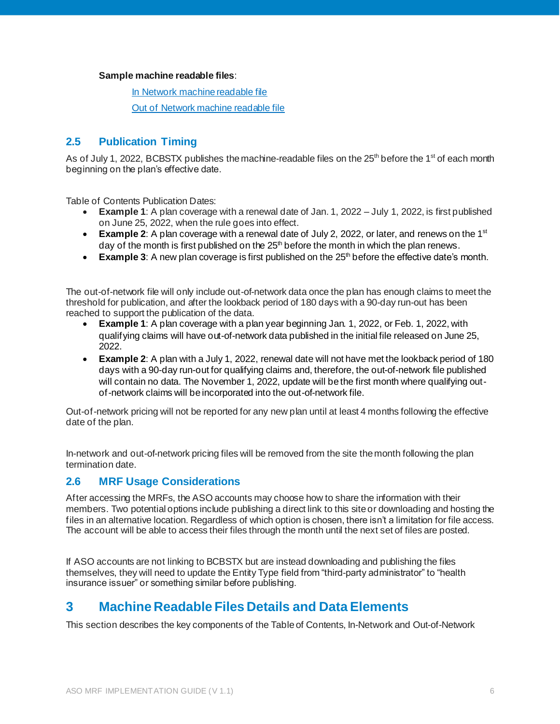#### **Sample machine readable files**:

[In Network machine readable file](https://staging.bcbsil.com/content/dam/bcbs/mrf/implementation-guides/2022-04-10_Blue-Cross-and-Blue-Shield-Of-Illinois_Federal-Employee-Program_in-network-rates.json)

[Out of Network machine readable file](https://staging.bcbsil.com/content/dam/bcbs/mrf/implementation-guides/2022-04-06_Blue-Cross-and-Blue-Shield-Of-Illinois_Blue-Advantage-HMO_allowed-amounts.json)

## <span id="page-5-0"></span>**2.5 Publication Timing**

As of July 1, 2022, BCBSTX publishes the machine-readable files on the  $25<sup>th</sup>$  before the 1<sup>st</sup> of each month beginning on the plan's effective date.

Table of Contents Publication Dates:

- **Example 1**: A plan coverage with a renewal date of Jan. 1, 2022 July 1, 2022, is first published on June 25, 2022, when the rule goes into effect.
- **Example 2**: A plan coverage with a renewal date of July 2, 2022, or later, and renews on the 1<sup>st</sup> day of the month is first published on the  $25<sup>th</sup>$  before the month in which the plan renews.
- **Example 3:** A new plan coverage is first published on the 25<sup>th</sup> before the effective date's month.

The out-of-network file will only include out-of-network data once the plan has enough claims to meet the threshold for publication, and after the lookback period of 180 days with a 90-day run-out has been reached to support the publication of the data.

- **Example 1**: A plan coverage with a plan year beginning Jan. 1, 2022, or Feb. 1, 2022, with qualifying claims will have out-of-network data published in the initial file released on June 25, 2022.
- **Example 2**: A plan with a July 1, 2022, renewal date will not have met the lookback period of 180 days with a 90-day run-out for qualifying claims and, therefore, the out-of-network file published will contain no data. The November 1, 2022, update will be the first month where qualifying outof-network claims will be incorporated into the out-of-network file.

Out-of-network pricing will not be reported for any new plan until at least 4 months following the effective date of the plan.

In-network and out-of-network pricing files will be removed from the site the month following the plan termination date.

### <span id="page-5-1"></span>**2.6 MRF Usage Considerations**

After accessing the MRFs, the ASO accounts may choose how to share the information with their members. Two potential options include publishing a direct link to this site or downloading and hosting the files in an alternative location. Regardless of which option is chosen, there isn't a limitation for file access. The account will be able to access their files through the month until the next set of files are posted.

If ASO accounts are not linking to BCBSTX but are instead downloading and publishing the files themselves, they will need to update the Entity Type field from "third-party administrator" to "health insurance issuer" or something similar before publishing.

# <span id="page-5-2"></span>**3 Machine Readable Files Details and Data Elements**

This section describes the key components of the Table of Contents, In-Network and Out-of-Network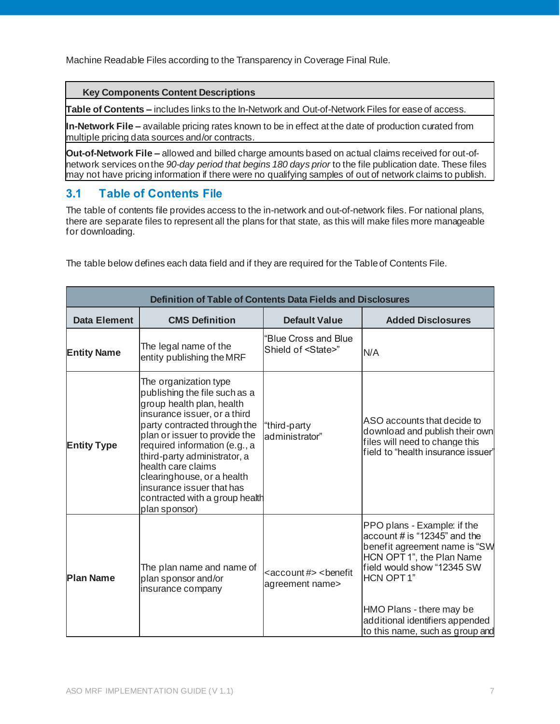Machine Readable Files according to the Transparency in Coverage Final Rule.

### **Key Components Content Descriptions**

**Table of Contents –** includes links to the In-Network and Out-of-Network Files for ease of access.

**In-Network File –** available pricing rates known to be in effect at the date of production curated from multiple pricing data sources and/or contracts.

**Out-of-Network File –** allowed and billed charge amounts based on actual claims received for out-ofnetwork services on the *90-day period that begins 180 days prior* to the file publication date. These files may not have pricing information if there were no qualifying samples of out of network claims to publish.

# <span id="page-6-0"></span>**3.1 Table of Contents File**

The table of contents file provides access to the in-network and out-of-network files. For national plans, there are separate files to represent all the plans for that state, as this will make files more manageable for downloading.

The table below defines each data field and if they are required for the Table of Contents File.

|                     | <b>Definition of Table of Contents Data Fields and Disclosures</b>                                                                                                                                                                                                                                                                                                                        |                                                                      |                                                                                                                                                                                                                                                                               |  |  |  |
|---------------------|-------------------------------------------------------------------------------------------------------------------------------------------------------------------------------------------------------------------------------------------------------------------------------------------------------------------------------------------------------------------------------------------|----------------------------------------------------------------------|-------------------------------------------------------------------------------------------------------------------------------------------------------------------------------------------------------------------------------------------------------------------------------|--|--|--|
| <b>Data Element</b> | <b>CMS Definition</b>                                                                                                                                                                                                                                                                                                                                                                     | <b>Default Value</b>                                                 | <b>Added Disclosures</b>                                                                                                                                                                                                                                                      |  |  |  |
| <b>Entity Name</b>  | The legal name of the<br>entity publishing the MRF                                                                                                                                                                                                                                                                                                                                        | "Blue Cross and Blue<br>Shield of <state>"</state>                   | N/A                                                                                                                                                                                                                                                                           |  |  |  |
| <b>Entity Type</b>  | The organization type<br>publishing the file such as a<br>group health plan, health<br>insurance issuer, or a third<br>party contracted through the<br>plan or issuer to provide the<br>required information (e.g., a<br>third-party administrator, a<br>health care claims<br>clearinghouse, or a health<br>insurance issuer that has<br>contracted with a group health<br>plan sponsor) | "third-party<br>administrator"                                       | ASO accounts that decide to<br>download and publish their own<br>files will need to change this<br>field to "health insurance issuer"                                                                                                                                         |  |  |  |
| <b>Plan Name</b>    | The plan name and name of<br>plan sponsor and/or<br>insurance company                                                                                                                                                                                                                                                                                                                     | <account #=""> <benefit<br>agreement name&gt;</benefit<br></account> | PPO plans - Example: if the<br>account # is "12345" and the<br>benefit agreement name is "SW<br>HCN OPT 1", the Plan Name<br>field would show "12345 SW<br><b>HCN OPT1"</b><br>HMO Plans - there may be<br>additional identifiers appended<br>to this name, such as group and |  |  |  |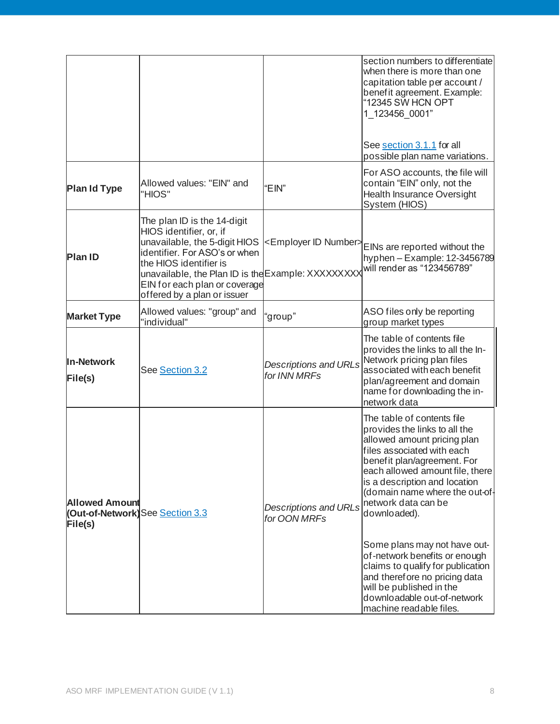<span id="page-7-0"></span>

|                                                                     |                                                                                                                                                                                                                                                                          |                                              | section numbers to differentiate<br>when there is more than one<br>capitation table per account /<br>benefit agreement. Example:<br>"12345 SW HCN OPT<br>1 123456 0001"                                                                                                                                                                                                                                                                                                                                                           |
|---------------------------------------------------------------------|--------------------------------------------------------------------------------------------------------------------------------------------------------------------------------------------------------------------------------------------------------------------------|----------------------------------------------|-----------------------------------------------------------------------------------------------------------------------------------------------------------------------------------------------------------------------------------------------------------------------------------------------------------------------------------------------------------------------------------------------------------------------------------------------------------------------------------------------------------------------------------|
|                                                                     |                                                                                                                                                                                                                                                                          |                                              | See section 3.1.1 for all<br>possible plan name variations.                                                                                                                                                                                                                                                                                                                                                                                                                                                                       |
| Plan Id Type                                                        | Allowed values: "EIN" and<br>"HIOS"                                                                                                                                                                                                                                      | "EIN"                                        | For ASO accounts, the file will<br>contain "EIN" only, not the<br><b>Health Insurance Oversight</b><br>System (HIOS)                                                                                                                                                                                                                                                                                                                                                                                                              |
| Plan ID                                                             | The plan ID is the 14-digit<br>HIOS identifier, or, if<br>unavailable, the 5-digit HIOS<br>identifier. For ASO's or when<br>the HIOS identifier is<br>unavailable, the Plan ID is the Example: XXXXXXXXX<br>EIN for each plan or coverage<br>offered by a plan or issuer | <employer id="" number=""></employer>        | EINs are reported without the<br>hyphen - Example: 12-3456789<br>will render as "123456789"                                                                                                                                                                                                                                                                                                                                                                                                                                       |
| <b>Market Type</b>                                                  | Allowed values: "group" and<br>"individual"                                                                                                                                                                                                                              | "group"                                      | ASO files only be reporting<br>group market types                                                                                                                                                                                                                                                                                                                                                                                                                                                                                 |
| <b>In-Network</b><br>File(s)                                        | See Section 3.2                                                                                                                                                                                                                                                          | <b>Descriptions and URLs</b><br>for INN MRFs | The table of contents file<br>provides the links to all the In-<br>Network pricing plan files<br>associated with each benefit<br>plan/agreement and domain<br>name for downloading the in-<br>network data                                                                                                                                                                                                                                                                                                                        |
| <b>Allowed Amount</b><br>(Out-of-Network)See Section 3.3<br>File(s) |                                                                                                                                                                                                                                                                          | <b>Descriptions and URLs</b><br>for OON MRFs | The table of contents file<br>provides the links to all the<br>allowed amount pricing plan<br>files associated with each<br>benefit plan/agreement. For<br>each allowed amount file, there<br>is a description and location<br>(domain name where the out-of-<br>network data can be<br>downloaded).<br>Some plans may not have out-<br>of-network benefits or enough<br>claims to qualify for publication<br>and therefore no pricing data<br>will be published in the<br>downloadable out-of-network<br>machine readable files. |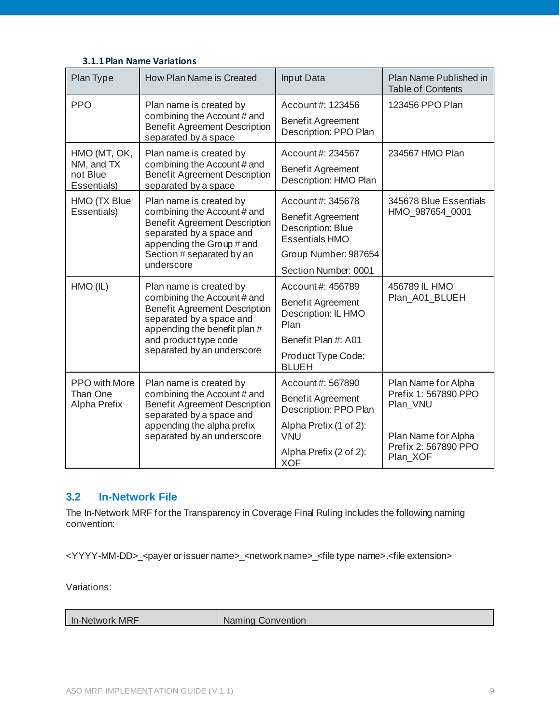### **3.1.1 Plan Name Variations**

| Plan Type                             | How Plan Name is Created                                                                                                                                 | Input Data                                                             | Plan Name Published in<br><b>Table of Contents</b> |
|---------------------------------------|----------------------------------------------------------------------------------------------------------------------------------------------------------|------------------------------------------------------------------------|----------------------------------------------------|
| <b>PPO</b>                            | Plan name is created by                                                                                                                                  | Account #: 123456                                                      | 123456 PPO Plan                                    |
|                                       | combining the Account # and<br><b>Benefit Agreement Description</b><br>separated by a space                                                              | <b>Benefit Agreement</b><br>Description: PPO Plan                      |                                                    |
| HMO (MT, OK,                          | Plan name is created by                                                                                                                                  | Account #: 234567                                                      | 234567 HMO Plan                                    |
| NM, and TX<br>not Blue<br>Essentials) | combining the Account # and<br><b>Benefit Agreement Description</b><br>separated by a space                                                              | <b>Benefit Agreement</b><br>Description: HMO Plan                      |                                                    |
| HMO (TX Blue                          | Plan name is created by                                                                                                                                  | Account #: 345678                                                      | 345678 Blue Essentials                             |
| Essentials)                           | combining the Account # and<br><b>Benefit Agreement Description</b><br>separated by a space and<br>appending the Group # and                             | <b>Benefit Agreement</b><br>Description: Blue<br><b>Essentials HMO</b> | HMO_987654_0001                                    |
|                                       | Section # separated by an                                                                                                                                | Group Number: 987654                                                   |                                                    |
|                                       | underscore                                                                                                                                               | Section Number: 0001                                                   |                                                    |
| HMO (IL)                              | Plan name is created by                                                                                                                                  | Account #: 456789                                                      | 456789 IL HMO                                      |
|                                       | combining the Account # and<br><b>Benefit Agreement Description</b><br>separated by a space and<br>appending the benefit plan #<br>and product type code | <b>Benefit Agreement</b><br>Description: IL HMO<br>Plan                | Plan_A01_BLUEH                                     |
|                                       |                                                                                                                                                          | Benefit Plan #: A01                                                    |                                                    |
|                                       | separated by an underscore                                                                                                                               | Product Type Code:<br><b>BLUEH</b>                                     |                                                    |
| PPO with More                         | Plan name is created by                                                                                                                                  | Account #: 567890                                                      | Plan Name for Alpha                                |
| Than One<br>Alpha Prefix              | combining the Account # and<br><b>Benefit Agreement Description</b><br>separated by a space and                                                          | <b>Benefit Agreement</b><br>Description: PPO Plan                      | Prefix 1: 567890 PPO<br>Plan_VNU                   |
|                                       | appending the alpha prefix<br>separated by an underscore                                                                                                 | Alpha Prefix (1 of 2):<br><b>VNU</b>                                   | Plan Name for Alpha                                |
|                                       |                                                                                                                                                          | Alpha Prefix (2 of 2):<br><b>XOF</b>                                   | Prefix 2: 567890 PPO<br>Plan_XOF                   |

# <span id="page-8-0"></span>**3.2 In-Network File**

The In-Network MRF for the Transparency in Coverage Final Ruling includes the following naming convention:

<YYYY-MM-DD>\_<payer or issuer name>\_<network name>\_<file type name>.<file extension>

Variations:

| In-Network MRF | <b>Naming Convention</b> |
|----------------|--------------------------|
|                |                          |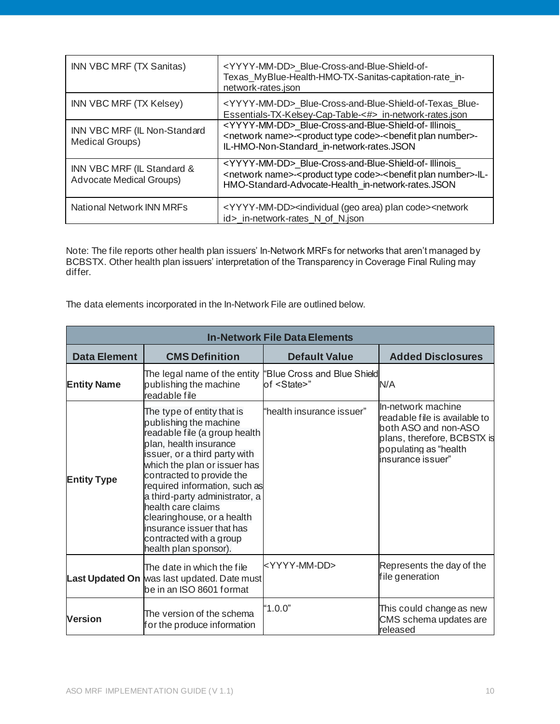| INN VBC MRF (TX Sanitas)                                      | <yyyy-mm-dd> Blue-Cross-and-Blue-Shield-of-<br/>Texas_MyBlue-Health-HMO-TX-Sanitas-capitation-rate_in-<br/>network-rates.json</yyyy-mm-dd>                                                                                            |
|---------------------------------------------------------------|---------------------------------------------------------------------------------------------------------------------------------------------------------------------------------------------------------------------------------------|
| INN VBC MRF (TX Kelsey)                                       | <yyyy-mm-dd> Blue-Cross-and-Blue-Shield-of-Texas Blue-<br/>Essentials-TX-Kelsey-Cap-Table-&lt;#&gt;_in-network-rates.json</yyyy-mm-dd>                                                                                                |
| INN VBC MRF (IL Non-Standard<br>Medical Groups)               | <yyyy-mm-dd> Blue-Cross-and-Blue-Shield-of-Illinois<br/><network name="">-<product code="" type="">-<benefit number="" plan="">-<br/>IL-HMO-Non-Standard_in-network-rates.JSON</benefit></product></network></yyyy-mm-dd>             |
| INN VBC MRF (IL Standard &<br><b>Advocate Medical Groups)</b> | <yyyy-mm-dd> Blue-Cross-and-Blue-Shield-of-Illinois<br/><network name="">-<product code="" type="">-<benefit number="" plan="">-IL-<br/>HMO-Standard-Advocate-Health in-network-rates.JSON</benefit></product></network></yyyy-mm-dd> |
| National Network INN MRFs                                     | <yyyy-mm-dd><individual (geo="" area)="" code="" plan=""><network<br>id&gt;_in-network-rates_N_of_N.json</network<br></individual></yyyy-mm-dd>                                                                                       |

Note: The file reports other health plan issuers' In-Network MRFs for networks that aren't managed by BCBSTX. Other health plan issuers' interpretation of the Transparency in Coverage Final Ruling may differ.

The data elements incorporated in the In-Network File are outlined below.

| <b>In-Network File Data Elements</b> |                                                                                                                                                                                                                                                                                                                                                                                                                       |                                                    |                                                                                                                                                          |  |  |
|--------------------------------------|-----------------------------------------------------------------------------------------------------------------------------------------------------------------------------------------------------------------------------------------------------------------------------------------------------------------------------------------------------------------------------------------------------------------------|----------------------------------------------------|----------------------------------------------------------------------------------------------------------------------------------------------------------|--|--|
| <b>Data Element</b>                  | <b>CMS Definition</b>                                                                                                                                                                                                                                                                                                                                                                                                 | <b>Default Value</b>                               | <b>Added Disclosures</b>                                                                                                                                 |  |  |
| <b>Entity Name</b>                   | The legal name of the entity<br>publishing the machine<br>readable file                                                                                                                                                                                                                                                                                                                                               | "Blue Cross and Blue Shield<br>of <state>"</state> | N/A                                                                                                                                                      |  |  |
| <b>Entity Type</b>                   | The type of entity that is<br>publishing the machine<br>readable file (a group health<br>plan, health insurance<br>issuer, or a third party with<br>which the plan or issuer has<br>contracted to provide the<br>required information, such as<br>a third-party administrator, a<br>health care claims<br>clearinghouse, or a health<br>insurance issuer that has<br>contracted with a group<br>health plan sponsor). | "health insurance issuer"                          | In-network machine<br>readable file is available to<br>both ASO and non-ASO<br>plans, therefore, BCBSTX is<br>populating as "health<br>insurance issuer" |  |  |
|                                      | The date in which the file<br>Last Updated On was last updated. Date must<br>be in an ISO 8601 format                                                                                                                                                                                                                                                                                                                 | <yyyy-mm-dd></yyyy-mm-dd>                          | Represents the day of the<br>file generation                                                                                                             |  |  |
| <b>Version</b>                       | The version of the schema<br>for the produce information                                                                                                                                                                                                                                                                                                                                                              | "1.0.0"                                            | This could change as new<br>CMS schema updates are<br>released                                                                                           |  |  |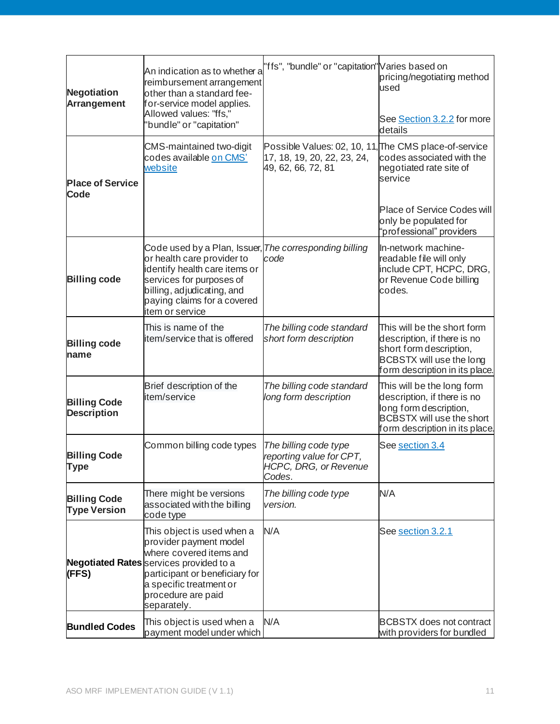| <b>Negotiation</b><br><b>Arrangement</b>   | An indication as to whether a<br>reimbursement arrangement<br>other than a standard fee-<br>for-service model applies.<br>Allowed values: "ffs,"<br>'bundle" or "capitation"                                                      | "ffs", "bundle" or "capitation" Varies based on                                                            | pricing/negotiating method<br>used<br>See Section 3.2.2 for more<br>details                                                                         |
|--------------------------------------------|-----------------------------------------------------------------------------------------------------------------------------------------------------------------------------------------------------------------------------------|------------------------------------------------------------------------------------------------------------|-----------------------------------------------------------------------------------------------------------------------------------------------------|
| <b>Place of Service</b><br><b>Code</b>     | CMS-maintained two-digit<br>codes available on CMS'<br>website                                                                                                                                                                    | Possible Values: 02, 10, 11, The CMS place-of-service<br>17, 18, 19, 20, 22, 23, 24,<br>49, 62, 66, 72, 81 | codes associated with the<br>negotiated rate site of<br>service                                                                                     |
|                                            |                                                                                                                                                                                                                                   |                                                                                                            | <b>Place of Service Codes will</b><br>only be populated for<br>'professional" providers                                                             |
| <b>Billing code</b>                        | Code used by a Plan, Issuer, The corresponding billing<br>or health care provider to<br>identify health care items or<br>services for purposes of<br>billing, adjudicating, and<br>paying claims for a covered<br>item or service | code                                                                                                       | In-network machine-<br>readable file will only<br>include CPT, HCPC, DRG,<br>or Revenue Code billing<br>codes.                                      |
| <b>Billing code</b><br>name                | This is name of the<br>item/service that is offered                                                                                                                                                                               | The billing code standard<br>short form description                                                        | This will be the short form<br>description, if there is no<br>short form description,<br>BCBSTX will use the long<br>form description in its place. |
| <b>Billing Code</b><br><b>Description</b>  | Brief description of the<br>item/service                                                                                                                                                                                          | The billing code standard<br>long form description                                                         | This will be the long form<br>description, if there is no<br>long form description,<br>BCBSTX will use the short<br>form description in its place.  |
| <b>Billing Code</b><br>Type                | Common billing code types                                                                                                                                                                                                         | The billing code type<br>reporting value for CPT,<br>HCPC, DRG, or Revenue<br>Codes.                       | See section 3.4                                                                                                                                     |
| <b>Billing Code</b><br><b>Type Version</b> | There might be versions<br>associated with the billing<br>code type                                                                                                                                                               | The billing code type<br>version.                                                                          | N/A                                                                                                                                                 |
| (FFS)                                      | This object is used when a<br>provider payment model<br>where covered items and<br>Negotiated Rates services provided to a<br>participant or beneficiary for<br>a specific treatment or<br>procedure are paid<br>separately.      | N/A                                                                                                        | See section 3.2.1                                                                                                                                   |
| <b>Bundled Codes</b>                       | This object is used when a<br>payment model under which                                                                                                                                                                           | N/A                                                                                                        | <b>BCBSTX does not contract</b><br>with providers for bundled                                                                                       |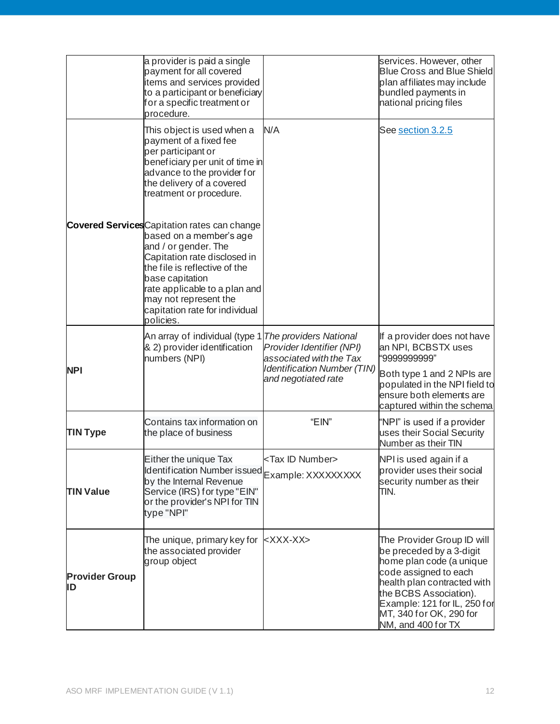|                             | a provider is paid a single<br>payment for all covered<br>items and services provided<br>to a participant or beneficiary<br>for a specific treatment or<br>procedure.                                                                                                                               |                                                                                     | services. However, other<br><b>Blue Cross and Blue Shield</b><br>plan affiliates may include<br>bundled payments in<br>national pricing files                                                                                                         |
|-----------------------------|-----------------------------------------------------------------------------------------------------------------------------------------------------------------------------------------------------------------------------------------------------------------------------------------------------|-------------------------------------------------------------------------------------|-------------------------------------------------------------------------------------------------------------------------------------------------------------------------------------------------------------------------------------------------------|
|                             | This object is used when a<br>payment of a fixed fee<br>per participant or<br>beneficiary per unit of time in<br>advance to the provider for<br>the delivery of a covered<br>treatment or procedure.                                                                                                | N/A                                                                                 | See <u>section 3.2.5</u>                                                                                                                                                                                                                              |
|                             | <b>Covered Services</b> Capitation rates can change<br>based on a member's age<br>and / or gender. The<br>Capitation rate disclosed in<br>the file is reflective of the<br>base capitation<br>rate applicable to a plan and<br>may not represent the<br>capitation rate for individual<br>policies. |                                                                                     |                                                                                                                                                                                                                                                       |
| <b>NPI</b>                  | An array of individual (type 1 The providers National<br>& 2) provider identification<br>numbers (NPI)                                                                                                                                                                                              | Provider Identifier (NPI)<br>associated with the Tax<br>Identification Number (TIN) | If a provider does not have<br>an NPI, BCBSTX uses<br>"9999999999"                                                                                                                                                                                    |
|                             |                                                                                                                                                                                                                                                                                                     | and negotiated rate                                                                 | Both type 1 and 2 NPIs are<br>populated in the NPI field to<br>ensure both elements are<br>captured within the schema                                                                                                                                 |
| <b>TIN Type</b>             | Contains tax information on<br>the place of business                                                                                                                                                                                                                                                | "EIN"                                                                               | "NPI" is used if a provider<br>uses their Social Security<br>Number as their TIN                                                                                                                                                                      |
| <b>TIN Value</b>            | Either the unique Tax<br>Identification Number issued Example: XXXXXXXXX<br>by the Internal Revenue<br>Service (IRS) for type "EIN"<br>or the provider's NPI for TIN<br>type "NPI"                                                                                                                  | <tax id="" number=""></tax>                                                         | NPI is used again if a<br>provider uses their social<br>security number as their<br>TIN.                                                                                                                                                              |
| <b>Provider Group</b><br>ID | The unique, primary key for<br>the associated provider<br>group object                                                                                                                                                                                                                              | <xxx-xx></xxx-xx>                                                                   | The Provider Group ID will<br>be preceded by a 3-digit<br>home plan code (a unique<br>code assigned to each<br>health plan contracted with<br>the BCBS Association).<br>Example: 121 for IL, 250 for<br>MT, 340 for OK, 290 for<br>NM, and 400 for TX |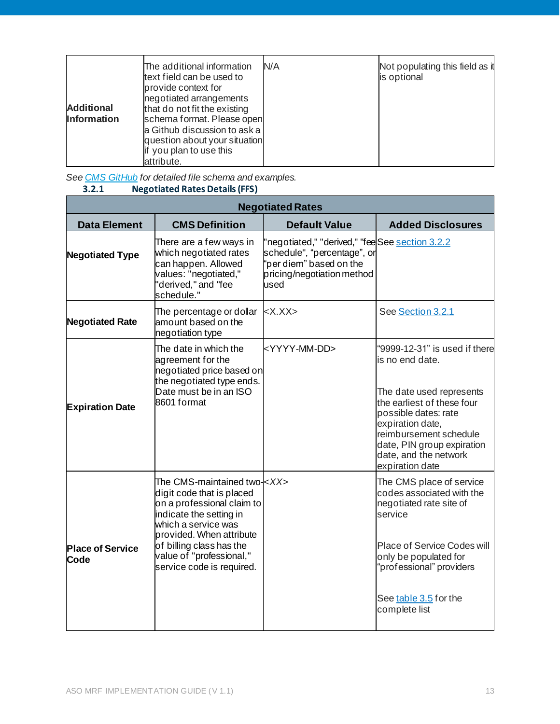| <b>Additional</b><br><b>Information</b> | The additional information<br>text field can be used to<br>provide context for<br>negotiated arrangements<br>that do not fit the existing<br>schema format. Please open<br>a Github discussion to ask a<br>question about your situation<br>if you plan to use this<br>attribute. | N/A | Not populating this field as it<br>is optional |
|-----------------------------------------|-----------------------------------------------------------------------------------------------------------------------------------------------------------------------------------------------------------------------------------------------------------------------------------|-----|------------------------------------------------|
|-----------------------------------------|-----------------------------------------------------------------------------------------------------------------------------------------------------------------------------------------------------------------------------------------------------------------------------------|-----|------------------------------------------------|

<span id="page-12-0"></span>*See [CMS GitHub](https://github.com/CMSgov/price-transparency-guide) for detailed file schema and examples.* **3.2.1 Negotiated Rates Details (FFS)**

| <b>Negotiated Rates</b>         |                                                                                                                                                                                                                                                                         |                                                                                                                                                 |                                                                                                                                                                                                                                                            |  |  |
|---------------------------------|-------------------------------------------------------------------------------------------------------------------------------------------------------------------------------------------------------------------------------------------------------------------------|-------------------------------------------------------------------------------------------------------------------------------------------------|------------------------------------------------------------------------------------------------------------------------------------------------------------------------------------------------------------------------------------------------------------|--|--|
| <b>Data Element</b>             | <b>CMS Definition</b>                                                                                                                                                                                                                                                   | <b>Default Value</b>                                                                                                                            | <b>Added Disclosures</b>                                                                                                                                                                                                                                   |  |  |
| <b>Negotiated Type</b>          | There are a few ways in<br>which negotiated rates<br>can happen. Allowed<br>values: "negotiated,"<br>'derived," and "fee<br>schedule."                                                                                                                                  | 'negotiated," "derived," "fee See section 3.2.2<br>schedule", "percentage", or<br>'per diem" based on the<br>pricing/negotiation method<br>used |                                                                                                                                                                                                                                                            |  |  |
| <b>Negotiated Rate</b>          | The percentage or dollar<br>amount based on the<br>negotiation type                                                                                                                                                                                                     | $\langle$ X.XX $>$                                                                                                                              | See Section 3.2.1                                                                                                                                                                                                                                          |  |  |
| <b>Expiration Date</b>          | The date in which the<br>agreement for the<br>negotiated price based on<br>the negotiated type ends.<br>Date must be in an ISO<br>8601 format                                                                                                                           | <yyyy-mm-dd></yyyy-mm-dd>                                                                                                                       | "9999-12-31" is used if there<br>is no end date.<br>The date used represents<br>the earliest of these four<br>possible dates: rate<br>expiration date,<br>reimbursement schedule<br>date, PIN group expiration<br>date, and the network<br>expiration date |  |  |
| <b>Place of Service</b><br>Code | The CMS-maintained two- <xx><br/>digit code that is placed<br/>on a professional claim to<br/>indicate the setting in<br/>which a service was<br/>provided. When attribute<br/>of billing class has the<br/>value of "professional,"<br/>service code is required.</xx> |                                                                                                                                                 | The CMS place of service<br>codes associated with the<br>negotiated rate site of<br>service<br>Place of Service Codes will<br>only be populated for<br>"professional" providers<br>See table 3.5 for the<br>complete list                                  |  |  |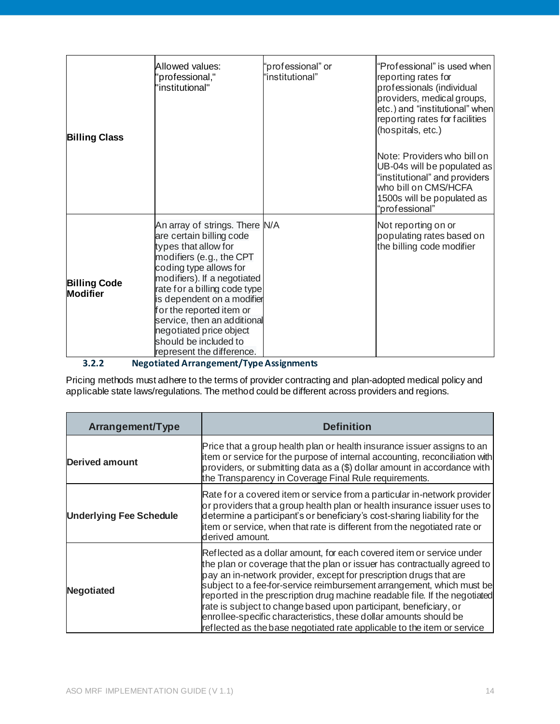| <b>Billing Class</b>                   | Allowed values:<br>'professional,"<br>'institutional"                                                                                                                                                                                                                                                                                                                             | "professional" or<br>"institutional" | "Professional" is used when<br>reporting rates for<br>professionals (individual<br>providers, medical groups,<br>etc.) and "institutional" when<br>reporting rates for facilities<br>(hospitals, etc.)<br>Note: Providers who bill on<br>UB-04s will be populated as<br>"institutional" and providers<br>who bill on CMS/HCFA<br>1500s will be populated as<br>"professional" |
|----------------------------------------|-----------------------------------------------------------------------------------------------------------------------------------------------------------------------------------------------------------------------------------------------------------------------------------------------------------------------------------------------------------------------------------|--------------------------------------|-------------------------------------------------------------------------------------------------------------------------------------------------------------------------------------------------------------------------------------------------------------------------------------------------------------------------------------------------------------------------------|
| <b>Billing Code</b><br><b>Modifier</b> | An array of strings. There N/A<br>are certain billing code<br>types that allow for<br>modifiers (e.g., the CPT<br>coding type allows for<br>modifiers). If a negotiated<br>rate for a billing code type<br>is dependent on a modifier<br>for the reported item or<br>service, then an additional<br>negotiated price object<br>should be included to<br>represent the difference. |                                      | Not reporting on or<br>populating rates based on<br>the billing code modifier                                                                                                                                                                                                                                                                                                 |

<span id="page-13-0"></span>**3.2.2 Negotiated Arrangement/Type Assignments**

Pricing methods must adhere to the terms of provider contracting and plan-adopted medical policy and applicable state laws/regulations. The method could be different across providers and regions.

| <b>Arrangement/Type</b>        | <b>Definition</b>                                                                                                                                                                                                                                                                                                                                                                                                                                                                                                                                                                                  |
|--------------------------------|----------------------------------------------------------------------------------------------------------------------------------------------------------------------------------------------------------------------------------------------------------------------------------------------------------------------------------------------------------------------------------------------------------------------------------------------------------------------------------------------------------------------------------------------------------------------------------------------------|
| <b>Derived amount</b>          | Price that a group health plan or health insurance issuer assigns to an<br>item or service for the purpose of internal accounting, reconciliation with<br>providers, or submitting data as a (\$) dollar amount in accordance with<br>the Transparency in Coverage Final Rule requirements.                                                                                                                                                                                                                                                                                                        |
| <b>Underlying Fee Schedule</b> | Rate for a covered item or service from a particular in-network provider<br>or providers that a group health plan or health insurance issuer uses to<br>determine a participant's or beneficiary's cost-sharing liability for the<br>item or service, when that rate is different from the negotiated rate or<br>derived amount.                                                                                                                                                                                                                                                                   |
| <b>Negotiated</b>              | Reflected as a dollar amount, for each covered item or service under<br>the plan or coverage that the plan or issuer has contractually agreed to<br>pay an in-network provider, except for prescription drugs that are<br>subject to a fee-for-service reimbursement arrangement, which must be<br>reported in the prescription drug machine readable file. If the negotiated<br>rate is subject to change based upon participant, beneficiary, or<br>enrollee-specific characteristics, these dollar amounts should be<br>reflected as the base negotiated rate applicable to the item or service |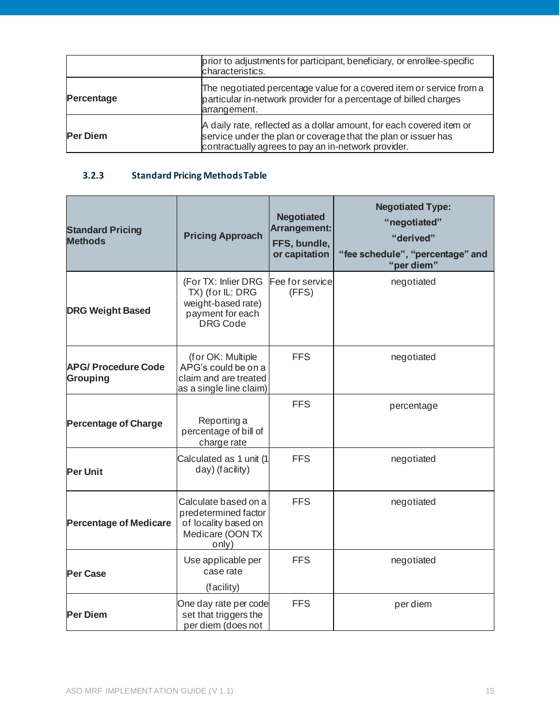|                 | prior to adjustments for participant, beneficiary, or enrollee-specific<br>characteristics.                                                                                                   |
|-----------------|-----------------------------------------------------------------------------------------------------------------------------------------------------------------------------------------------|
| Percentage      | The negotiated percentage value for a covered item or service from a<br>particular in-network provider for a percentage of billed charges<br>arrangement.                                     |
| <b>Per Diem</b> | A daily rate, reflected as a dollar amount, for each covered item or<br>service under the plan or coverage that the plan or issuer has<br>contractually agrees to pay an in-network provider. |

# <span id="page-14-0"></span>**3.2.3 Standard Pricing Methods Table**

| <b>Standard Pricing</b><br><b>Methods</b>     | <b>Pricing Approach</b>                                                                              | <b>Negotiated</b><br>Arrangement:<br>FFS, bundle,<br>or capitation | <b>Negotiated Type:</b><br>"negotiated"<br>"derived"<br>"fee schedule", "percentage" and<br>"per diem" |
|-----------------------------------------------|------------------------------------------------------------------------------------------------------|--------------------------------------------------------------------|--------------------------------------------------------------------------------------------------------|
| <b>DRG Weight Based</b>                       | (For TX: Inlier DRG<br>TX) (for IL: DRG<br>weight-based rate)<br>payment for each<br><b>DRG Code</b> | Fee for service<br>(FFS)                                           | negotiated                                                                                             |
| <b>APG/ Procedure Code</b><br><b>Grouping</b> | (for OK: Multiple<br>APG's could be on a<br>claim and are treated<br>as a single line claim)         | <b>FFS</b>                                                         | negotiated                                                                                             |
| <b>Percentage of Charge</b>                   | Reporting a<br>percentage of bill of<br>charge rate                                                  | <b>FFS</b>                                                         | percentage                                                                                             |
| <b>Per Unit</b>                               | Calculated as 1 unit (1<br>day) (facility)                                                           | <b>FFS</b>                                                         | negotiated                                                                                             |
| <b>Percentage of Medicare</b>                 | Calculate based on a<br>predetermined factor<br>of locality based on<br>Medicare (OON TX<br>only)    | <b>FFS</b>                                                         | negotiated                                                                                             |
| <b>Per Case</b>                               | Use applicable per<br>case rate<br>(facility)                                                        | <b>FFS</b>                                                         | negotiated                                                                                             |
| <b>Per Diem</b>                               | One day rate per code<br>set that triggers the<br>per diem (does not                                 | <b>FFS</b>                                                         | per diem                                                                                               |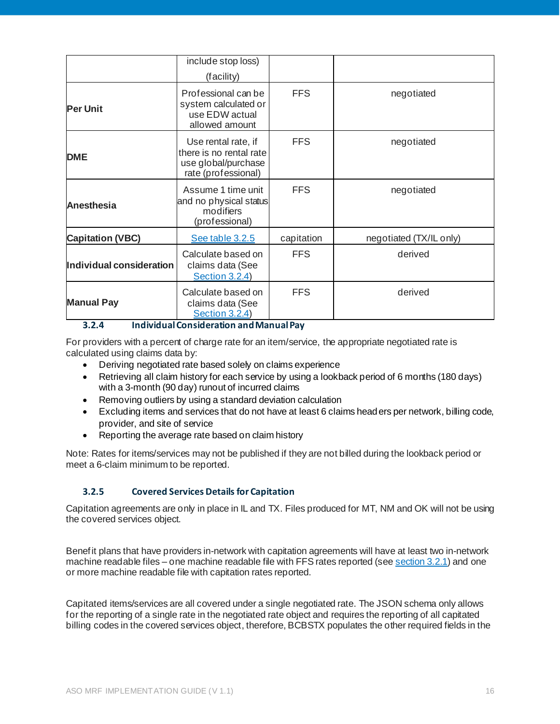|                          | include stop loss)<br>(facility)                                                             |            |                         |
|--------------------------|----------------------------------------------------------------------------------------------|------------|-------------------------|
| <b>Per Unit</b>          | Professional can be<br>system calculated or<br>use EDW actual<br>allowed amount              | <b>FFS</b> | negotiated              |
| <b>DME</b>               | Use rental rate, if<br>there is no rental rate<br>use global/purchase<br>rate (professional) | <b>FFS</b> | negotiated              |
| <b>Anesthesia</b>        | Assume 1 time unit<br>and no physical status<br>modifiers<br>(professional)                  | <b>FFS</b> | negotiated              |
| <b>Capitation (VBC)</b>  | See table 3.2.5                                                                              | capitation | negotiated (TX/IL only) |
| Individual consideration | Calculate based on<br>claims data (See<br>Section 3.2.4)                                     | <b>FFS</b> | derived                 |
| <b>Manual Pay</b>        | Calculate based on<br>claims data (See<br>Section 3.2.4)                                     | <b>FFS</b> | derived                 |

### **3.2.4 Individual Consideration and Manual Pay**

<span id="page-15-0"></span>For providers with a percent of charge rate for an item/service, the appropriate negotiated rate is calculated using claims data by:

- Deriving negotiated rate based solely on claims experience
- Retrieving all claim history for each service by using a lookback period of 6 months (180 days) with a 3-month (90 day) runout of incurred claims
- Removing outliers by using a standard deviation calculation
- Excluding items and services that do not have at least 6 claims headers per network, billing code, provider, and site of service
- Reporting the average rate based on claim history

Note: Rates for items/services may not be published if they are not billed during the lookback period or meet a 6-claim minimum to be reported.

### **3.2.5 Covered Services Details for Capitation**

<span id="page-15-1"></span>Capitation agreements are only in place in IL and TX. Files produced for MT, NM and OK will not be using the covered services object.

Benefit plans that have providers in-network with capitation agreements will have at least two in-network machine readable files – one machine readable file with FFS rates reported (se[e section 3.2.1](#page-12-0)) and one or more machine readable file with capitation rates reported.

Capitated items/services are all covered under a single negotiated rate. The JSON schema only allows for the reporting of a single rate in the negotiated rate object and requires the reporting of all capitated billing codes in the covered services object, therefore, BCBSTX populates the other required fields in the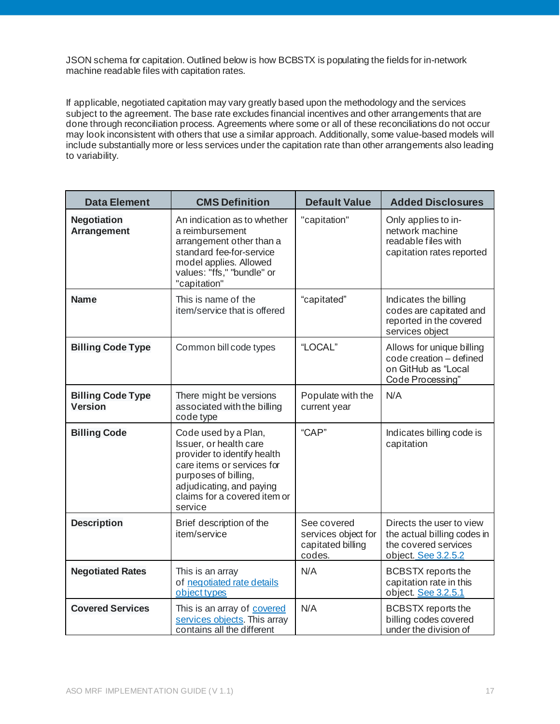JSON schema for capitation. Outlined below is how BCBSTX is populating the fields for in-network machine readable files with capitation rates.

If applicable, negotiated capitation may vary greatly based upon the methodology and the services subject to the agreement. The base rate excludes financial incentives and other arrangements that are done through reconciliation process. Agreements where some or all of these reconciliations do not occur may look inconsistent with others that use a similar approach. Additionally, some value-based models will include substantially more or less services under the capitation rate than other arrangements also leading to variability.

| <b>Data Element</b>                        | <b>CMS Definition</b>                                                                                                                                                                                      | <b>Default Value</b>                                              | <b>Added Disclosures</b>                                                                               |
|--------------------------------------------|------------------------------------------------------------------------------------------------------------------------------------------------------------------------------------------------------------|-------------------------------------------------------------------|--------------------------------------------------------------------------------------------------------|
| <b>Negotiation</b><br>Arrangement          | An indication as to whether<br>a reimbursement<br>arrangement other than a<br>standard fee-for-service<br>model applies. Allowed<br>values: "ffs," "bundle" or<br>"capitation"                             | "capitation"                                                      | Only applies to in-<br>network machine<br>readable files with<br>capitation rates reported             |
| <b>Name</b>                                | This is name of the<br>item/service that is offered                                                                                                                                                        | "capitated"                                                       | Indicates the billing<br>codes are capitated and<br>reported in the covered<br>services object         |
| <b>Billing Code Type</b>                   | Common bill code types                                                                                                                                                                                     | "LOCAL"                                                           | Allows for unique billing<br>code creation - defined<br>on GitHub as "Local<br>Code Processing"        |
| <b>Billing Code Type</b><br><b>Version</b> | There might be versions<br>associated with the billing<br>code type                                                                                                                                        | Populate with the<br>current year                                 | N/A                                                                                                    |
| <b>Billing Code</b>                        | Code used by a Plan,<br>Issuer, or health care<br>provider to identify health<br>care items or services for<br>purposes of billing,<br>adjudicating, and paying<br>claims for a covered item or<br>service | "CAP"                                                             | Indicates billing code is<br>capitation                                                                |
| <b>Description</b>                         | Brief description of the<br>item/service                                                                                                                                                                   | See covered<br>services object for<br>capitated billing<br>codes. | Directs the user to view<br>the actual billing codes in<br>the covered services<br>object. See 3.2.5.2 |
| <b>Negotiated Rates</b>                    | This is an array<br>of negotiated rate details<br>object types                                                                                                                                             | N/A                                                               | <b>BCBSTX</b> reports the<br>capitation rate in this<br>object. See 3.2.5.1                            |
| <b>Covered Services</b>                    | This is an array of covered<br>services objects. This array<br>contains all the different                                                                                                                  | N/A                                                               | <b>BCBSTX</b> reports the<br>billing codes covered<br>under the division of                            |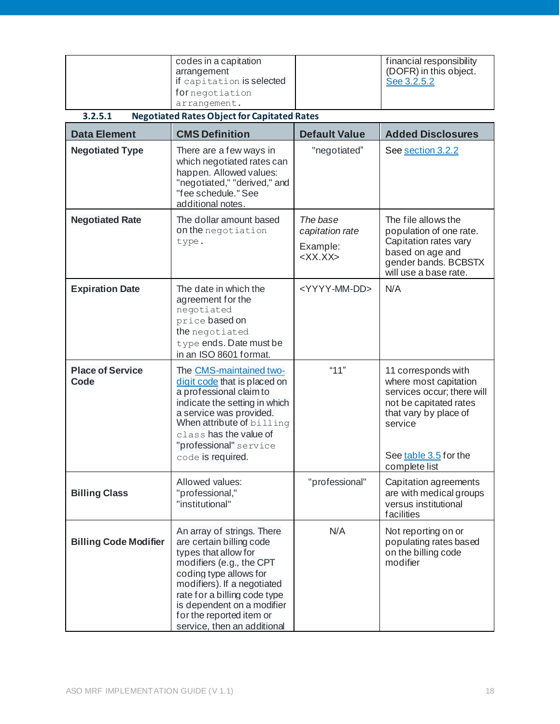<span id="page-17-0"></span>

|                                 | codes in a capitation<br>arrangement<br>if capitation is selected<br>fornegotiation<br>arrangement.                                                                                                                                                                                          |                                                                    | financial responsibility<br>(DOFR) in this object.<br>See 3.2.5.2                                                                                                                  |
|---------------------------------|----------------------------------------------------------------------------------------------------------------------------------------------------------------------------------------------------------------------------------------------------------------------------------------------|--------------------------------------------------------------------|------------------------------------------------------------------------------------------------------------------------------------------------------------------------------------|
| 3.2.5.1                         | <b>Negotiated Rates Object for Capitated Rates</b>                                                                                                                                                                                                                                           |                                                                    |                                                                                                                                                                                    |
| <b>Data Element</b>             | <b>CMS Definition</b>                                                                                                                                                                                                                                                                        | <b>Default Value</b>                                               | <b>Added Disclosures</b>                                                                                                                                                           |
| <b>Negotiated Type</b>          | There are a few ways in<br>which negotiated rates can<br>happen. Allowed values:<br>"negotiated," "derived," and<br>"fee schedule." See<br>additional notes.                                                                                                                                 | "negotiated"                                                       | See section 3.2.2                                                                                                                                                                  |
| <b>Negotiated Rate</b>          | The dollar amount based<br>on the negotiation<br>type.                                                                                                                                                                                                                                       | The base<br>capitation rate<br>Example:<br>$<$ $X$ $X$ $<$ $X$ $>$ | The file allows the<br>population of one rate.<br>Capitation rates vary<br>based on age and<br>gender bands. BCBSTX<br>will use a base rate.                                       |
| <b>Expiration Date</b>          | The date in which the<br>agreement for the<br>negotiated<br>price based on<br>the negotiated<br>type ends. Date must be<br>in an ISO 8601 format.                                                                                                                                            | <yyyy-mm-dd></yyyy-mm-dd>                                          | N/A                                                                                                                                                                                |
| <b>Place of Service</b><br>Code | The CMS-maintained two-<br>digit code that is placed on<br>a professional claim to<br>indicate the setting in which<br>a service was provided.<br>When attribute of billing<br>class has the value of<br>"professional" service<br>code is required.                                         | "11"                                                               | 11 corresponds with<br>where most capitation<br>services occur; there will<br>not be capitated rates<br>that vary by place of<br>service<br>See table 3.5 for the<br>complete list |
| <b>Billing Class</b>            | Allowed values:<br>"professional,"<br>"institutional"                                                                                                                                                                                                                                        | "professional"                                                     | Capitation agreements<br>are with medical groups<br>versus institutional<br>facilities                                                                                             |
| <b>Billing Code Modifier</b>    | An array of strings. There<br>are certain billing code<br>types that allow for<br>modifiers (e.g., the CPT<br>coding type allows for<br>modifiers). If a negotiated<br>rate for a billing code type<br>is dependent on a modifier<br>for the reported item or<br>service, then an additional | N/A                                                                | Not reporting on or<br>populating rates based<br>on the billing code<br>modifier                                                                                                   |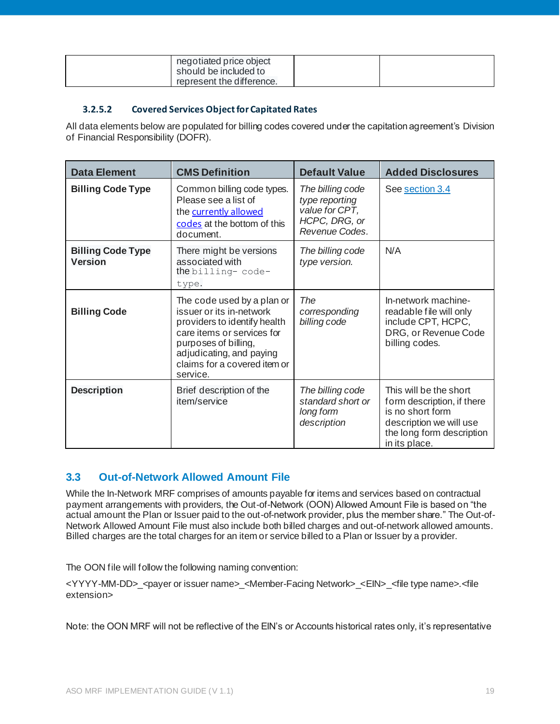| negotiated price object<br>should be included to<br>represent the difference. |  |
|-------------------------------------------------------------------------------|--|
|                                                                               |  |

### **3.2.5.2 Covered Services Object for Capitated Rates**

<span id="page-18-0"></span>All data elements below are populated for billing codes covered under the capitation agreement's Division of Financial Responsibility (DOFR).

| <b>Data Element</b>                        | <b>CMS Definition</b>                                                                                                                                                                                                | <b>Default Value</b>                                                                    | <b>Added Disclosures</b>                                                                                                                          |
|--------------------------------------------|----------------------------------------------------------------------------------------------------------------------------------------------------------------------------------------------------------------------|-----------------------------------------------------------------------------------------|---------------------------------------------------------------------------------------------------------------------------------------------------|
| <b>Billing Code Type</b>                   | Common billing code types.<br>Please see a list of<br>the currently allowed<br>codes at the bottom of this<br>document.                                                                                              | The billing code<br>type reporting<br>value for CPT,<br>HCPC, DRG, or<br>Revenue Codes. | See section 3.4                                                                                                                                   |
| <b>Billing Code Type</b><br><b>Version</b> | There might be versions<br>associated with<br>the billing-code-<br>type.                                                                                                                                             | The billing code<br>type version.                                                       | N/A                                                                                                                                               |
| <b>Billing Code</b>                        | The code used by a plan or<br>issuer or its in-network<br>providers to identify health<br>care items or services for<br>purposes of billing,<br>adjudicating, and paying<br>claims for a covered item or<br>service. | The<br>corresponding<br>billing code                                                    | In-network machine-<br>readable file will only<br>include CPT, HCPC,<br>DRG, or Revenue Code<br>billing codes.                                    |
| <b>Description</b>                         | Brief description of the<br>item/service                                                                                                                                                                             | The billing code<br>standard short or<br>long form<br>description                       | This will be the short<br>form description, if there<br>is no short form<br>description we will use<br>the long form description<br>in its place. |

# <span id="page-18-1"></span>**3.3 Out-of-Network Allowed Amount File**

While the In-Network MRF comprises of amounts payable for items and services based on contractual payment arrangements with providers, the Out-of-Network (OON) Allowed Amount File is based on "the actual amount the Plan or Issuer paid to the out-of-network provider, plus the member share." The Out-of-Network Allowed Amount File must also include both billed charges and out-of-network allowed amounts. Billed charges are the total charges for an item or service billed to a Plan or Issuer by a provider.

The OON file will follow the following naming convention:

<YYYY-MM-DD>\_<payer or issuer name>\_<Member-Facing Network>\_<EIN>\_<file type name>.<file extension>

Note: the OON MRF will not be reflective of the EIN's or Accounts historical rates only, it's representative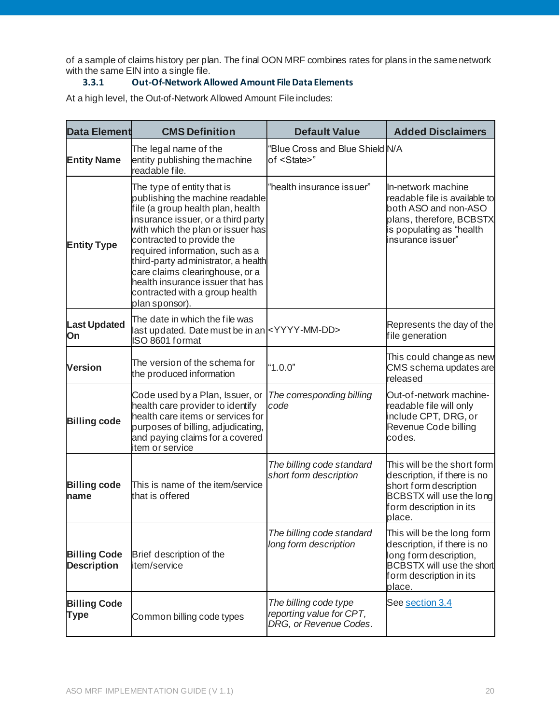of a sample of claims history per plan. The final OON MRF combines rates for plans in the same network with the same EIN into a single file.

# **3.3.1 Out-Of-Network Allowed Amount File Data Elements**

<span id="page-19-0"></span>At a high level, the Out-of-Network Allowed Amount File includes:

| <b>Data Element</b>                       | <b>CMS Definition</b>                                                                                                                                                                                                                                                                                                                                                                                           | <b>Default Value</b>                                                        | <b>Added Disclaimers</b>                                                                                                                                     |
|-------------------------------------------|-----------------------------------------------------------------------------------------------------------------------------------------------------------------------------------------------------------------------------------------------------------------------------------------------------------------------------------------------------------------------------------------------------------------|-----------------------------------------------------------------------------|--------------------------------------------------------------------------------------------------------------------------------------------------------------|
| <b>Entity Name</b>                        | The legal name of the<br>entity publishing the machine<br>readable file.                                                                                                                                                                                                                                                                                                                                        | "Blue Cross and Blue Shield N/A<br>of <state>"</state>                      |                                                                                                                                                              |
| <b>Entity Type</b>                        | The type of entity that is<br>publishing the machine readable<br>file (a group health plan, health<br>insurance issuer, or a third party<br>with which the plan or issuer has<br>contracted to provide the<br>required information, such as a<br>third-party administrator, a health<br>care claims clearinghouse, or a<br>health insurance issuer that has<br>contracted with a group health<br>plan sponsor). | "health insurance issuer"                                                   | In-network machine<br>readable file is available to<br>both ASO and non-ASO<br>plans, therefore, BCBSTX<br>is populating as "health<br>insurance issuer"     |
| <b>Last Updated</b><br>On                 | The date in which the file was<br>last updated. Date must be in an <yyyy-mm-dd><br/>ISO 8601 format</yyyy-mm-dd>                                                                                                                                                                                                                                                                                                |                                                                             | Represents the day of the<br>file generation                                                                                                                 |
| <b>Version</b>                            | The version of the schema for<br>the produced information                                                                                                                                                                                                                                                                                                                                                       | "1.0.0"                                                                     | This could change as new<br>CMS schema updates are<br>released                                                                                               |
| <b>Billing code</b>                       | Code used by a Plan, Issuer, or<br>health care provider to identify<br>health care items or services for<br>purposes of billing, adjudicating,<br>and paying claims for a covered<br>item or service                                                                                                                                                                                                            | The corresponding billing<br>code                                           | Out-of-network machine-<br>readable file will only<br>include CPT, DRG, or<br>Revenue Code billing<br>codes.                                                 |
| <b>Billing code</b><br>name               | This is name of the item/service<br>that is offered                                                                                                                                                                                                                                                                                                                                                             | The billing code standard<br>short form description                         | This will be the short form<br>description, if there is no<br>short form description<br>BCBSTX will use the long<br>form description in its<br>place.        |
| <b>Billing Code</b><br><b>Description</b> | Brief description of the<br>item/service                                                                                                                                                                                                                                                                                                                                                                        | The billing code standard<br>long form description                          | This will be the long form<br>description, if there is no<br>long form description,<br><b>BCBSTX will use the short</b><br>form description in its<br>place. |
| <b>Billing Code</b><br><b>Type</b>        | Common billing code types                                                                                                                                                                                                                                                                                                                                                                                       | The billing code type<br>reporting value for CPT,<br>DRG, or Revenue Codes. | See section 3.4                                                                                                                                              |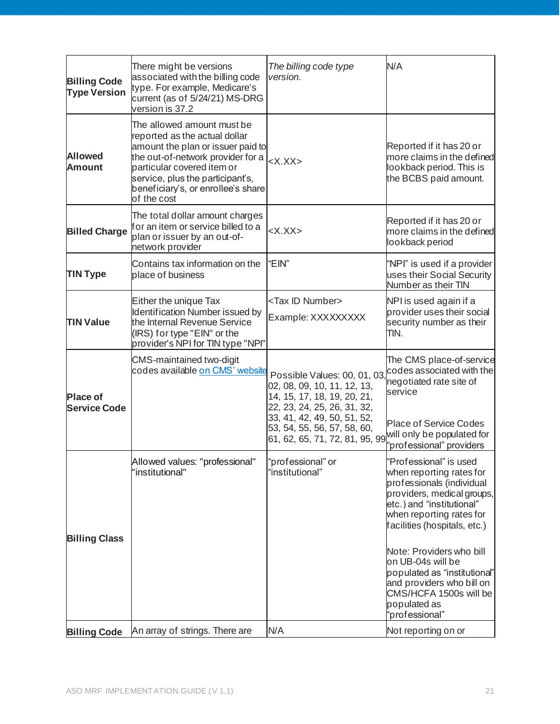| <b>Billing Code</b><br><b>Type Version</b> | There might be versions<br>associated with the billing code<br>type. For example, Medicare's<br>current (as of 5/24/21) MS-DRG<br>version is 37.2                                                                                                            | The billing code type<br>version.                                                                                                                                                                                                                   | N/A                                                                                                                                                                                                                                                                                                                                                                              |
|--------------------------------------------|--------------------------------------------------------------------------------------------------------------------------------------------------------------------------------------------------------------------------------------------------------------|-----------------------------------------------------------------------------------------------------------------------------------------------------------------------------------------------------------------------------------------------------|----------------------------------------------------------------------------------------------------------------------------------------------------------------------------------------------------------------------------------------------------------------------------------------------------------------------------------------------------------------------------------|
| <b>Allowed</b><br><b>Amount</b>            | The allowed amount must be<br>reported as the actual dollar<br>amount the plan or issuer paid to<br>the out-of-network provider for a<br>particular covered item or<br>service, plus the participant's,<br>beneficiary's, or enrollee's share<br>of the cost | $<$ X.XX $>$                                                                                                                                                                                                                                        | Reported if it has 20 or<br>more claims in the defined<br>lookback period. This is<br>the BCBS paid amount.                                                                                                                                                                                                                                                                      |
| <b>Billed Charge</b>                       | The total dollar amount charges<br>for an item or service billed to a<br>plan or issuer by an out-of-<br>network provider                                                                                                                                    | $<$ X.XX $>$                                                                                                                                                                                                                                        | Reported if it has 20 or<br>more claims in the defined<br>lookback period                                                                                                                                                                                                                                                                                                        |
| <b>TIN Type</b>                            | Contains tax information on the<br>place of business                                                                                                                                                                                                         | "EIN"                                                                                                                                                                                                                                               | "NPI" is used if a provider<br>uses their Social Security<br>Number as their TIN                                                                                                                                                                                                                                                                                                 |
| <b>TIN Value</b>                           | Either the unique Tax<br>Identification Number issued by<br>the Internal Revenue Service<br>(IRS) for type "EIN" or the<br>provider's NPI for TIN type "NPI"                                                                                                 | <tax id="" number=""><br/>Example: XXXXXXXXX</tax>                                                                                                                                                                                                  | NPI is used again if a<br>provider uses their social<br>security number as their<br>TIN.                                                                                                                                                                                                                                                                                         |
| <b>Place of</b><br><b>Service Code</b>     | CMS-maintained two-digit<br>codes available on CMS' website                                                                                                                                                                                                  | Possible Values: 00, 01, 03<br>02, 08, 09, 10, 11, 12, 13,<br>14, 15, 17, 18, 19, 20, 21,<br>22, 23, 24, 25, 26, 31, 32,<br>33, 41, 42, 49, 50, 51, 52,<br>53, 54, 55, 56, 57, 58, 60,<br>61, 62, 65, 71, 72, 81, 95, 99 will only be populated for | The CMS place-of-service<br>codes associated with the<br>negotiated rate site of<br>service<br><b>Place of Service Codes</b><br>'professional" providers                                                                                                                                                                                                                         |
| <b>Billing Class</b>                       | Allowed values: "professional"<br>"institutional"                                                                                                                                                                                                            | "professional" or<br>"institutional"                                                                                                                                                                                                                | "Professional" is used<br>when reporting rates for<br>professionals (individual<br>providers, medical groups,<br>etc.) and "institutional"<br>when reporting rates for<br>facilities (hospitals, etc.)<br>Note: Providers who bill<br>on UB-04s will be<br>populated as "institutional"<br>and providers who bill on<br>CMS/HCFA 1500s will be<br>populated as<br>'professional" |
| <b>Billing Code</b>                        | An array of strings. There are                                                                                                                                                                                                                               | N/A                                                                                                                                                                                                                                                 | Not reporting on or                                                                                                                                                                                                                                                                                                                                                              |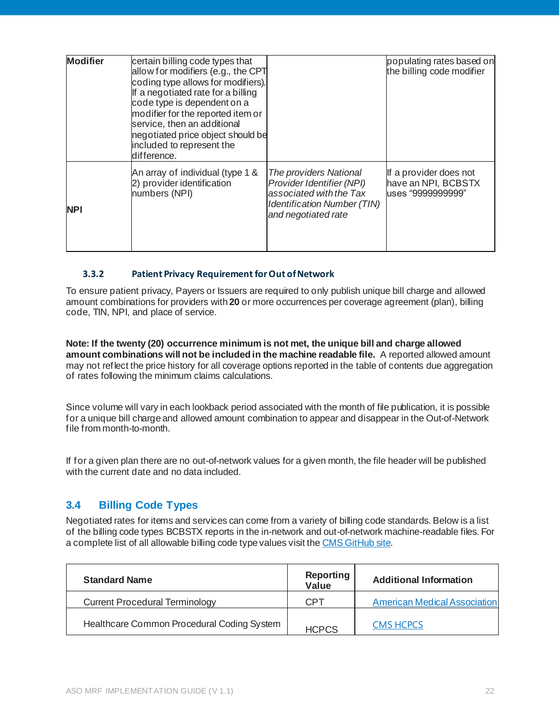| <b>Modifier</b> | certain billing code types that<br>allow for modifiers (e.g., the CPT<br>coding type allows for modifiers).<br>If a negotiated rate for a billing<br>code type is dependent on a<br>modifier for the reported item or<br>service, then an additional<br>negotiated price object should be<br>included to represent the<br>difference. |                                                                                                                                             | populating rates based on<br>the billing code modifier             |
|-----------------|---------------------------------------------------------------------------------------------------------------------------------------------------------------------------------------------------------------------------------------------------------------------------------------------------------------------------------------|---------------------------------------------------------------------------------------------------------------------------------------------|--------------------------------------------------------------------|
| <b>NPI</b>      | An array of individual (type 1 &<br>2) provider identification<br>numbers (NPI)                                                                                                                                                                                                                                                       | The providers National<br>Provider Identifier (NPI)<br>associated with the Tax<br><b>Identification Number (TIN)</b><br>and negotiated rate | If a provider does not<br>have an NPI, BCBSTX<br>uses "9999999999" |

### <span id="page-21-0"></span>**3.3.2 Patient Privacy Requirement for Out of Network**

To ensure patient privacy, Payers or Issuers are required to only publish unique bill charge and allowed amount combinations for providers with **20** or more occurrences per coverage agreement (plan), billing code, TIN, NPI, and place of service.

**Note: If the twenty (20) occurrence minimum is not met, the unique bill and charge allowed amount combinations will not be included in the machine readable file.** A reported allowed amount may not reflect the price history for all coverage options reported in the table of contents due aggregation of rates following the minimum claims calculations.

Since volume will vary in each lookback period associated with the month of file publication, it is possible for a unique bill charge and allowed amount combination to appear and disappear in the Out-of-Network file from month-to-month.

If for a given plan there are no out-of-network values for a given month, the file header will be published with the current date and no data included.

## <span id="page-21-1"></span>**3.4 Billing Code Types**

Negotiated rates for items and services can come from a variety of billing code standards. Below is a list of the billing code types BCBSTX reports in the in-network and out-of-network machine-readable files. For a complete list of all allowable billing code type values visit th[e CMS GitHub site.](https://github.com/CMSgov/price-transparency-guide)

| <b>Standard Name</b>                       | <b>Reporting</b><br><b>Value</b> | <b>Additional Information</b>       |
|--------------------------------------------|----------------------------------|-------------------------------------|
| <b>Current Procedural Terminology</b>      | CP1                              | <b>American Medical Association</b> |
| Healthcare Common Procedural Coding System | <b>HCPCS</b>                     | <b>CMS HCPCS</b>                    |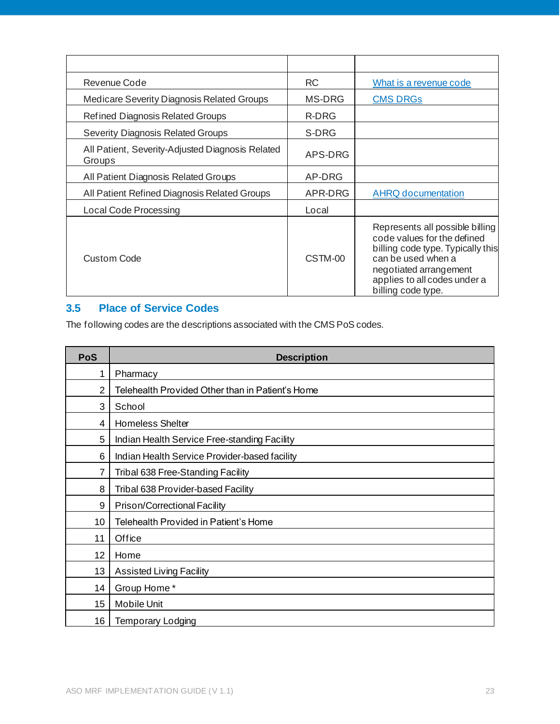| Revenue Code                                               | <b>RC</b> | What is a revenue code                                                                                                                                                                                    |
|------------------------------------------------------------|-----------|-----------------------------------------------------------------------------------------------------------------------------------------------------------------------------------------------------------|
| <b>Medicare Severity Diagnosis Related Groups</b>          | MS-DRG    | <b>CMS DRGs</b>                                                                                                                                                                                           |
| <b>Refined Diagnosis Related Groups</b>                    | R-DRG     |                                                                                                                                                                                                           |
| <b>Severity Diagnosis Related Groups</b>                   | S-DRG     |                                                                                                                                                                                                           |
| All Patient, Severity-Adjusted Diagnosis Related<br>Groups | APS-DRG   |                                                                                                                                                                                                           |
| All Patient Diagnosis Related Groups                       | AP-DRG    |                                                                                                                                                                                                           |
| All Patient Refined Diagnosis Related Groups               | APR-DRG   | AHRQ documentation                                                                                                                                                                                        |
| Local Code Processing                                      | Local     |                                                                                                                                                                                                           |
| Custom Code                                                | CSTM-00   | Represents all possible billing<br>code values for the defined<br>billing code type. Typically this<br>can be used when a<br>negotiated arrangement<br>applies to all codes under a<br>billing code type. |

# <span id="page-22-0"></span>**3.5 Place of Service Codes**

The following codes are the descriptions associated with the CMS PoS codes.

| <b>PoS</b> | <b>Description</b>                               |
|------------|--------------------------------------------------|
| 1          | Pharmacy                                         |
| 2          | Telehealth Provided Other than in Patient's Home |
| 3          | School                                           |
| 4          | Homeless Shelter                                 |
| 5          | Indian Health Service Free-standing Facility     |
| 6          | Indian Health Service Provider-based facility    |
| 7          | Tribal 638 Free-Standing Facility                |
| 8          | Tribal 638 Provider-based Facility               |
| 9          | Prison/Correctional Facility                     |
| 10         | Telehealth Provided in Patient's Home            |
| 11         | Office                                           |
| 12         | Home                                             |
| 13         | <b>Assisted Living Facility</b>                  |
| 14         | Group Home*                                      |
| 15         | <b>Mobile Unit</b>                               |
| 16         | <b>Temporary Lodging</b>                         |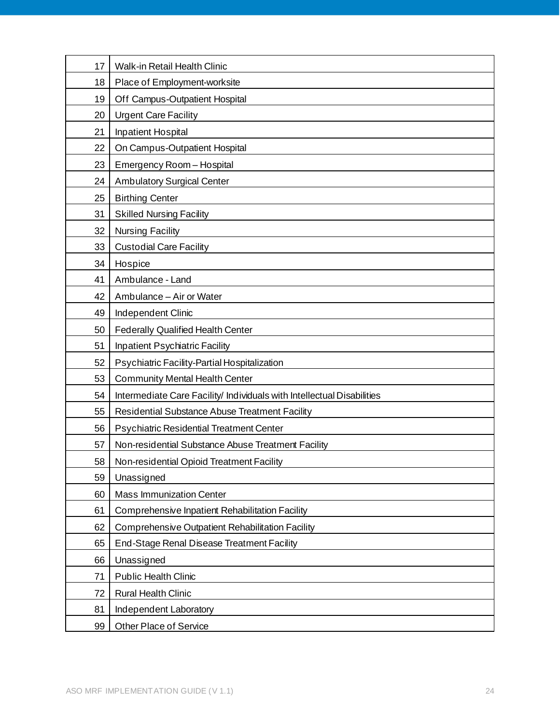| 17 | Walk-in Retail Health Clinic                                           |
|----|------------------------------------------------------------------------|
| 18 | Place of Employment-worksite                                           |
| 19 | Off Campus-Outpatient Hospital                                         |
| 20 | <b>Urgent Care Facility</b>                                            |
| 21 | <b>Inpatient Hospital</b>                                              |
| 22 | On Campus-Outpatient Hospital                                          |
| 23 | Emergency Room - Hospital                                              |
| 24 | <b>Ambulatory Surgical Center</b>                                      |
| 25 | <b>Birthing Center</b>                                                 |
| 31 | <b>Skilled Nursing Facility</b>                                        |
| 32 | <b>Nursing Facility</b>                                                |
| 33 | <b>Custodial Care Facility</b>                                         |
| 34 | Hospice                                                                |
| 41 | Ambulance - Land                                                       |
| 42 | Ambulance - Air or Water                                               |
| 49 | Independent Clinic                                                     |
| 50 | <b>Federally Qualified Health Center</b>                               |
| 51 | Inpatient Psychiatric Facility                                         |
| 52 | Psychiatric Facility-Partial Hospitalization                           |
| 53 | <b>Community Mental Health Center</b>                                  |
| 54 | Intermediate Care Facility/ Individuals with Intellectual Disabilities |
| 55 | <b>Residential Substance Abuse Treatment Facility</b>                  |
| 56 | <b>Psychiatric Residential Treatment Center</b>                        |
| 57 | Non-residential Substance Abuse Treatment Facility                     |
| 58 | Non-residential Opioid Treatment Facility                              |
| 59 | Unassigned                                                             |
| 60 | <b>Mass Immunization Center</b>                                        |
| 61 | Comprehensive Inpatient Rehabilitation Facility                        |
| 62 | Comprehensive Outpatient Rehabilitation Facility                       |
| 65 | <b>End-Stage Renal Disease Treatment Facility</b>                      |
| 66 | Unassigned                                                             |
| 71 | <b>Public Health Clinic</b>                                            |
| 72 | <b>Rural Health Clinic</b>                                             |
| 81 | Independent Laboratory                                                 |
| 99 | <b>Other Place of Service</b>                                          |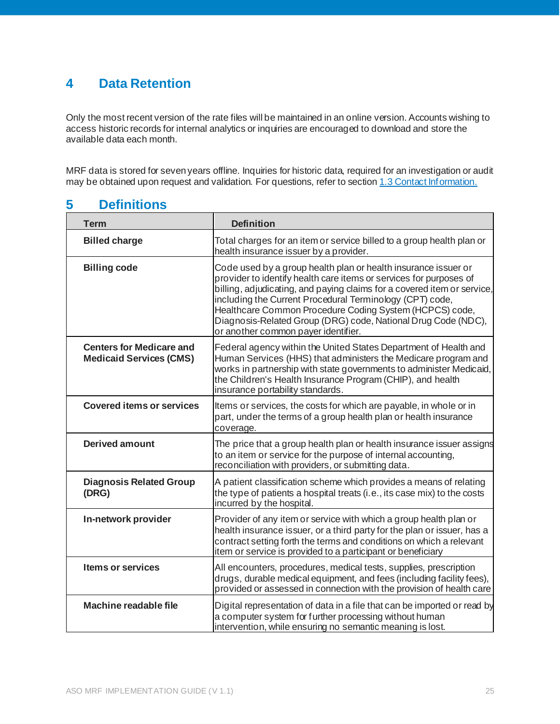# <span id="page-24-0"></span>**4 Data Retention**

Only the most recent version of the rate files will be maintained in an online version. Accounts wishing to access historic records for internal analytics or inquiries are encouraged to download and store the available data each month.

MRF data is stored for seven years offline. Inquiries for historic data, required for an investigation or audit may be obtained upon request and validation. For questions, refer to sectio[n 1.3 Contact Information.](#page-2-3)

# <span id="page-24-1"></span>**5 Definitions**

| <b>Term</b>                                                       | <b>Definition</b>                                                                                                                                                                                                                                                                                                                                                                                                                              |
|-------------------------------------------------------------------|------------------------------------------------------------------------------------------------------------------------------------------------------------------------------------------------------------------------------------------------------------------------------------------------------------------------------------------------------------------------------------------------------------------------------------------------|
| <b>Billed charge</b>                                              | Total charges for an item or service billed to a group health plan or<br>health insurance issuer by a provider.                                                                                                                                                                                                                                                                                                                                |
| <b>Billing code</b>                                               | Code used by a group health plan or health insurance issuer or<br>provider to identify health care items or services for purposes of<br>billing, adjudicating, and paying claims for a covered item or service,<br>including the Current Procedural Terminology (CPT) code,<br>Healthcare Common Procedure Coding System (HCPCS) code,<br>Diagnosis-Related Group (DRG) code, National Drug Code (NDC),<br>or another common payer identifier. |
| <b>Centers for Medicare and</b><br><b>Medicaid Services (CMS)</b> | Federal agency within the United States Department of Health and<br>Human Services (HHS) that administers the Medicare program and<br>works in partnership with state governments to administer Medicaid,<br>the Children's Health Insurance Program (CHIP), and health<br>insurance portability standards.                                                                                                                                    |
| <b>Covered items or services</b>                                  | Items or services, the costs for which are payable, in whole or in<br>part, under the terms of a group health plan or health insurance<br>coverage.                                                                                                                                                                                                                                                                                            |
| <b>Derived amount</b>                                             | The price that a group health plan or health insurance issuer assigns<br>to an item or service for the purpose of internal accounting,<br>reconciliation with providers, or submitting data.                                                                                                                                                                                                                                                   |
| <b>Diagnosis Related Group</b><br>(DRG)                           | A patient classification scheme which provides a means of relating<br>the type of patients a hospital treats (i.e., its case mix) to the costs<br>incurred by the hospital                                                                                                                                                                                                                                                                     |
| In-network provider                                               | Provider of any item or service with which a group health plan or<br>health insurance issuer, or a third party for the plan or issuer, has a<br>contract setting forth the terms and conditions on which a relevant<br>item or service is provided to a participant or beneficiary                                                                                                                                                             |
| <b>Items or services</b>                                          | All encounters, procedures, medical tests, supplies, prescription<br>drugs, durable medical equipment, and fees (including facility fees),<br>provided or assessed in connection with the provision of health care                                                                                                                                                                                                                             |
| Machine readable file                                             | Digital representation of data in a file that can be imported or read by<br>a computer system for further processing without human<br>intervention, while ensuring no semantic meaning is lost.                                                                                                                                                                                                                                                |